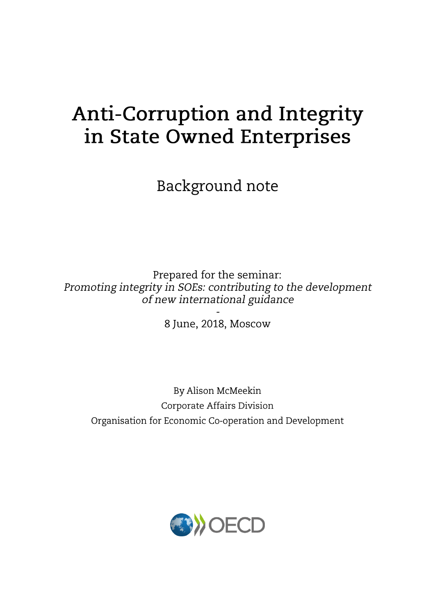# **Anti-Corruption and Integrity** in State Owned Enterprises

Background note

Prepared for the seminar: Promoting integrity in SOEs: contributing to the development of new international guidance

8 June, 2018, Moscow

By Alison McMeekin Corporate Affairs Division Organisation for Economic Co-operation and Development

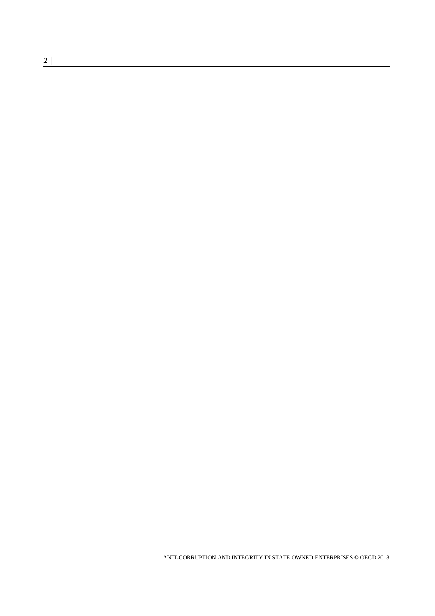**2 │**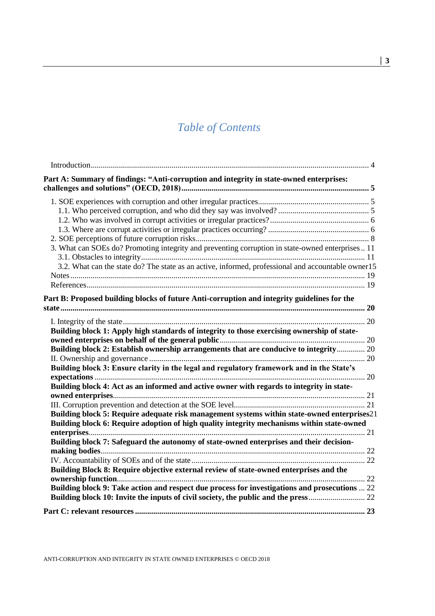## *Table of Contents*

| Part A: Summary of findings: "Anti-corruption and integrity in state-owned enterprises:                                                                                                   |  |
|-------------------------------------------------------------------------------------------------------------------------------------------------------------------------------------------|--|
|                                                                                                                                                                                           |  |
| 3. What can SOEs do? Promoting integrity and preventing corruption in state-owned enterprises  11                                                                                         |  |
| 3.2. What can the state do? The state as an active, informed, professional and accountable owner15                                                                                        |  |
| Part B: Proposed building blocks of future Anti-corruption and integrity guidelines for the                                                                                               |  |
| Building block 1: Apply high standards of integrity to those exercising ownership of state-                                                                                               |  |
| Building block 2: Establish ownership arrangements that are conducive to integrity 20                                                                                                     |  |
| Building block 3: Ensure clarity in the legal and regulatory framework and in the State's                                                                                                 |  |
| Building block 4: Act as an informed and active owner with regards to integrity in state-                                                                                                 |  |
| Building block 5: Require adequate risk management systems within state-owned enterprises21<br>Building block 6: Require adoption of high quality integrity mechanisms within state-owned |  |
| Building block 7: Safeguard the autonomy of state-owned enterprises and their decision-                                                                                                   |  |
| Building Block 8: Require objective external review of state-owned enterprises and the                                                                                                    |  |
| Building block 9: Take action and respect due process for investigations and prosecutions  22                                                                                             |  |
|                                                                                                                                                                                           |  |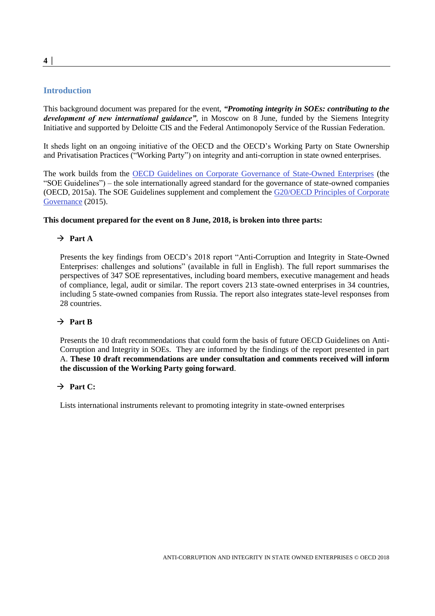## <span id="page-3-0"></span>**Introduction**

This background document was prepared for the event, *"Promoting integrity in SOEs: contributing to the development of new international guidance"*, in Moscow on 8 June, funded by the Siemens Integrity Initiative and supported by Deloitte CIS and the Federal Antimonopoly Service of the Russian Federation.

It sheds light on an ongoing initiative of the OECD and the OECD's Working Party on State Ownership and Privatisation Practices ("Working Party") on integrity and anti-corruption in state owned enterprises.

The work builds from the [OECD Guidelines on Corporate Governance of State-Owned Enterprises](http://www.oecd.org/corporate/guidelines-corporate-governance-SOEs.htm) (the "SOE Guidelines") – the sole internationally agreed standard for the governance of state-owned companies (OECD, 2015a). The SOE Guidelines supplement and complement the [G20/OECD Principles of Corporate](https://www.oecd-ilibrary.org/governance/g20-oecd-principles-of-corporate-governance-2015_9789264236882-en)  [Governance](https://www.oecd-ilibrary.org/governance/g20-oecd-principles-of-corporate-governance-2015_9789264236882-en) (2015).

## **This document prepared for the event on 8 June, 2018, is broken into three parts:**

## $\rightarrow$  Part A

Presents the key findings from OECD's 2018 report "Anti-Corruption and Integrity in State-Owned Enterprises: challenges and solutions" (available in full in English). The full report summarises the perspectives of 347 SOE representatives, including board members, executive management and heads of compliance, legal, audit or similar. The report covers 213 state-owned enterprises in 34 countries, including 5 state-owned companies from Russia. The report also integrates state-level responses from 28 countries.

## $\rightarrow$  Part B

Presents the 10 draft recommendations that could form the basis of future OECD Guidelines on Anti-Corruption and Integrity in SOEs. They are informed by the findings of the report presented in part A. **These 10 draft recommendations are under consultation and comments received will inform the discussion of the Working Party going forward**.

## $\rightarrow$  **Part C:**

Lists international instruments relevant to promoting integrity in state-owned enterprises

## **4 │**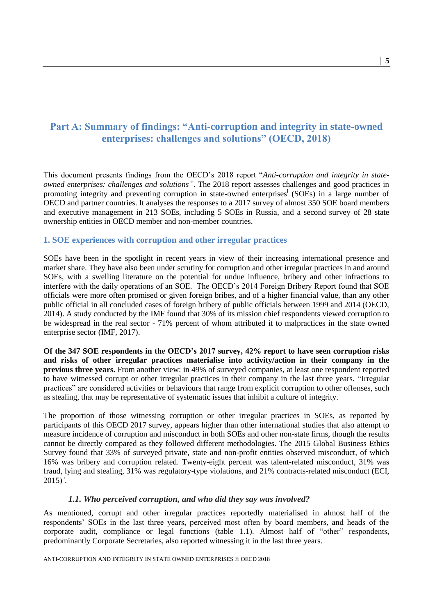## <span id="page-4-0"></span>**Part A: Summary of findings: "Anti-corruption and integrity in state-owned enterprises: challenges and solutions" (OECD, 2018)**

This document presents findings from the OECD's 2018 report "*Anti-corruption and integrity in stateowned enterprises: challenges and solutions"*. The 2018 report assesses challenges and good practices in promoting integrity and preventing corruption in state-owned enterprises<sup>i</sup> (SOEs) in a large number of OECD and partner countries. It analyses the responses to a 2017 survey of almost 350 SOE board members and executive management in 213 SOEs, including 5 SOEs in Russia, and a second survey of 28 state ownership entities in OECD member and non-member countries.

## <span id="page-4-1"></span>**1. SOE experiences with corruption and other irregular practices**

SOEs have been in the spotlight in recent years in view of their increasing international presence and market share. They have also been under scrutiny for corruption and other irregular practices in and around SOEs, with a swelling literature on the potential for undue influence, bribery and other infractions to interfere with the daily operations of an SOE. The OECD's 2014 Foreign Bribery Report found that SOE officials were more often promised or given foreign bribes, and of a higher financial value, than any other public official in all concluded cases of foreign bribery of public officials between 1999 and 2014 (OECD, 2014). A study conducted by the IMF found that 30% of its mission chief respondents viewed corruption to be widespread in the real sector - 71% percent of whom attributed it to malpractices in the state owned enterprise sector (IMF, 2017).

**Of the 347 SOE respondents in the OECD's 2017 survey, 42% report to have seen corruption risks and risks of other irregular practices materialise into activity/action in their company in the previous three years.** From another view: in 49% of surveyed companies, at least one respondent reported to have witnessed corrupt or other irregular practices in their company in the last three years. "Irregular practices" are considered activities or behaviours that range from explicit corruption to other offenses, such as stealing, that may be representative of systematic issues that inhibit a culture of integrity.

The proportion of those witnessing corruption or other irregular practices in SOEs, as reported by participants of this OECD 2017 survey, appears higher than other international studies that also attempt to measure incidence of corruption and misconduct in both SOEs and other non-state firms, though the results cannot be directly compared as they followed different methodologies. The 2015 Global Business Ethics Survey found that 33% of surveyed private, state and non-profit entities observed misconduct, of which 16% was bribery and corruption related. Twenty-eight percent was talent-related misconduct, 31% was fraud, lying and stealing, 31% was regulatory-type violations, and 21% contracts-related misconduct (ECI,  $2015$ <sup>ii</sup>.

## *1.1. Who perceived corruption, and who did they say was involved?*

<span id="page-4-2"></span>As mentioned, corrupt and other irregular practices reportedly materialised in almost half of the respondents' SOEs in the last three years, perceived most often by board members, and heads of the corporate audit, compliance or legal functions (table 1.1). Almost half of "other" respondents, predominantly Corporate Secretaries, also reported witnessing it in the last three years.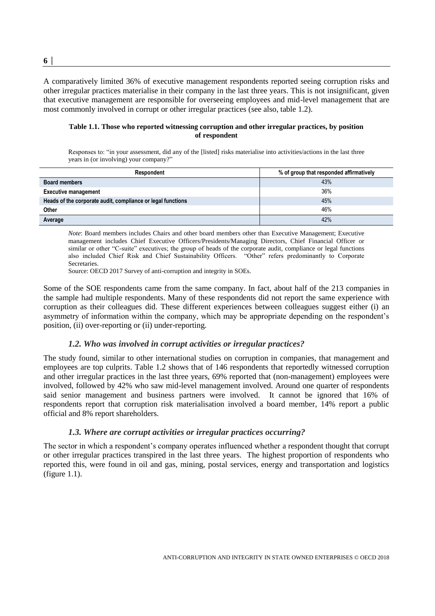A comparatively limited 36% of executive management respondents reported seeing corruption risks and other irregular practices materialise in their company in the last three years. This is not insignificant, given that executive management are responsible for overseeing employees and mid-level management that are most commonly involved in corrupt or other irregular practices (see also, table 1.2).

#### **Table 1.1. Those who reported witnessing corruption and other irregular practices, by position of respondent**

Responses to: "in your assessment, did any of the [listed] risks materialise into activities/actions in the last three years in (or involving) your company?"

| Respondent                                                  | % of group that responded affirmatively |  |  |
|-------------------------------------------------------------|-----------------------------------------|--|--|
| <b>Board members</b>                                        | 43%                                     |  |  |
| <b>Executive management</b>                                 | 36%                                     |  |  |
| Heads of the corporate audit, compliance or legal functions | 45%                                     |  |  |
| <b>Other</b>                                                | 46%                                     |  |  |
| Average                                                     | 42%                                     |  |  |

*Note*: Board members includes Chairs and other board members other than Executive Management; Executive management includes Chief Executive Officers/Presidents/Managing Directors, Chief Financial Officer or similar or other "C-suite" executives; the group of heads of the corporate audit, compliance or legal functions also included Chief Risk and Chief Sustainability Officers. "Other" refers predominantly to Corporate **Secretaries** 

Source: OECD 2017 Survey of anti-corruption and integrity in SOEs.

Some of the SOE respondents came from the same company. In fact, about half of the 213 companies in the sample had multiple respondents. Many of these respondents did not report the same experience with corruption as their colleagues did. These different experiences between colleagues suggest either (i) an asymmetry of information within the company, which may be appropriate depending on the respondent's position, (ii) over-reporting or (ii) under-reporting.

## *1.2. Who was involved in corrupt activities or irregular practices?*

<span id="page-5-0"></span>The study found, similar to other international studies on corruption in companies, that management and employees are top culprits. Table 1.2 shows that of 146 respondents that reportedly witnessed corruption and other irregular practices in the last three years, 69% reported that (non-management) employees were involved, followed by 42% who saw mid-level management involved. Around one quarter of respondents said senior management and business partners were involved. It cannot be ignored that 16% of respondents report that corruption risk materialisation involved a board member, 14% report a public official and 8% report shareholders.

#### *1.3. Where are corrupt activities or irregular practices occurring?*

<span id="page-5-1"></span>The sector in which a respondent's company operates influenced whether a respondent thought that corrupt or other irregular practices transpired in the last three years. The highest proportion of respondents who reported this, were found in oil and gas, mining, postal services, energy and transportation and logistics (figure 1.1).

**6 │**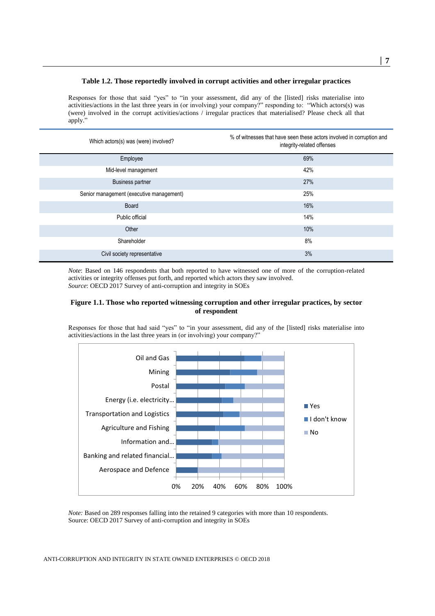#### **Table 1.2. Those reportedly involved in corrupt activities and other irregular practices**

Responses for those that said "yes" to "in your assessment, did any of the [listed] risks materialise into activities/actions in the last three years in (or involving) your company?" responding to: "Which actors(s) was (were) involved in the corrupt activities/actions / irregular practices that materialised? Please check all that apply."

| Which actors(s) was (were) involved?     | % of witnesses that have seen these actors involved in corruption and<br>integrity-related offenses |  |  |
|------------------------------------------|-----------------------------------------------------------------------------------------------------|--|--|
| Employee                                 | 69%                                                                                                 |  |  |
| Mid-level management                     | 42%                                                                                                 |  |  |
| <b>Business partner</b>                  | 27%                                                                                                 |  |  |
| Senior management (executive management) | 25%                                                                                                 |  |  |
| Board                                    | 16%                                                                                                 |  |  |
| Public official                          | 14%                                                                                                 |  |  |
| Other                                    | 10%                                                                                                 |  |  |
| Shareholder                              | 8%                                                                                                  |  |  |
| Civil society representative             | 3%                                                                                                  |  |  |

*Note*: Based on 146 respondents that both reported to have witnessed one of more of the corruption-related activities or integrity offenses put forth, and reported which actors they saw involved. *Source*: OECD 2017 Survey of anti-corruption and integrity in SOEs

#### **Figure 1.1. Those who reported witnessing corruption and other irregular practices, by sector of respondent**

Responses for those that had said "yes" to "in your assessment, did any of the [listed] risks materialise into activities/actions in the last three years in (or involving) your company?"



*Note:* Based on 289 responses falling into the retained 9 categories with more than 10 respondents. Source: OECD 2017 Survey of anti-corruption and integrity in SOEs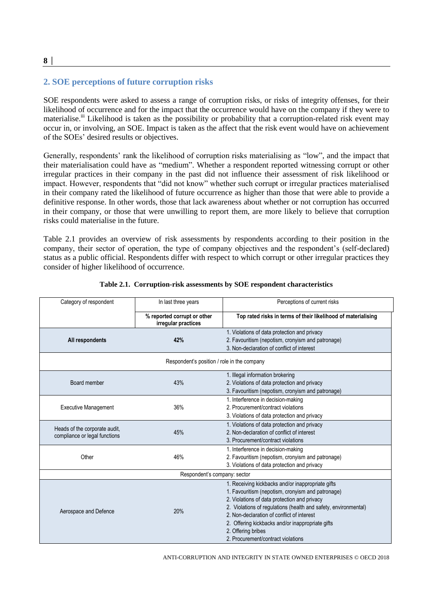## <span id="page-7-0"></span>**2. SOE perceptions of future corruption risks**

SOE respondents were asked to assess a range of corruption risks, or risks of integrity offenses, for their likelihood of occurrence and for the impact that the occurrence would have on the company if they were to materialise.<sup>iii</sup> Likelihood is taken as the possibility or probability that a corruption-related risk event may occur in, or involving, an SOE. Impact is taken as the affect that the risk event would have on achievement of the SOEs' desired results or objectives.

Generally, respondents' rank the likelihood of corruption risks materialising as "low", and the impact that their materialisation could have as "medium". Whether a respondent reported witnessing corrupt or other irregular practices in their company in the past did not influence their assessment of risk likelihood or impact. However, respondents that "did not know" whether such corrupt or irregular practices materialised in their company rated the likelihood of future occurrence as higher than those that were able to provide a definitive response. In other words, those that lack awareness about whether or not corruption has occurred in their company, or those that were unwilling to report them, are more likely to believe that corruption risks could materialise in the future.

Table 2.1 provides an overview of risk assessments by respondents according to their position in the company, their sector of operation, the type of company objectives and the respondent's (self-declared) status as a public official. Respondents differ with respect to which corrupt or other irregular practices they consider of higher likelihood of occurrence.

| Category of respondent                                         | In last three years                                | Perceptions of current risks                                                                                                                                                                                                                                                                                                                                                            |  |
|----------------------------------------------------------------|----------------------------------------------------|-----------------------------------------------------------------------------------------------------------------------------------------------------------------------------------------------------------------------------------------------------------------------------------------------------------------------------------------------------------------------------------------|--|
|                                                                | % reported corrupt or other<br>irregular practices | Top rated risks in terms of their likelihood of materialising                                                                                                                                                                                                                                                                                                                           |  |
| All respondents                                                | 42%                                                | 1. Violations of data protection and privacy<br>2. Favouritism (nepotism, cronyism and patronage)<br>3. Non-declaration of conflict of interest                                                                                                                                                                                                                                         |  |
|                                                                | Respondent's position / role in the company        |                                                                                                                                                                                                                                                                                                                                                                                         |  |
| Board member                                                   | 43%                                                | 1. Illegal information brokering<br>2. Violations of data protection and privacy<br>3. Favouritism (nepotism, cronyism and patronage)                                                                                                                                                                                                                                                   |  |
| <b>Executive Management</b>                                    | 36%                                                | 1. Interference in decision-making<br>2. Procurement/contract violations<br>3. Violations of data protection and privacy                                                                                                                                                                                                                                                                |  |
| Heads of the corporate audit,<br>compliance or legal functions | 45%                                                | 1. Violations of data protection and privacy<br>2. Non-declaration of conflict of interest<br>3. Procurement/contract violations                                                                                                                                                                                                                                                        |  |
| Other                                                          | 46%                                                | 1. Interference in decision-making<br>2. Favouritism (nepotism, cronyism and patronage)<br>3. Violations of data protection and privacy                                                                                                                                                                                                                                                 |  |
|                                                                | Respondent's company: sector                       |                                                                                                                                                                                                                                                                                                                                                                                         |  |
| Aerospace and Defence                                          | 20%                                                | 1. Receiving kickbacks and/or inappropriate gifts<br>1. Favouritism (nepotism, cronyism and patronage)<br>2. Violations of data protection and privacy<br>2. Violations of regulations (health and safety, environmental)<br>2. Non-declaration of conflict of interest<br>2. Offering kickbacks and/or inappropriate gifts<br>2. Offering bribes<br>2. Procurement/contract violations |  |

|  |  | Table 2.1. Corruption-risk assessments by SOE respondent characteristics |  |  |
|--|--|--------------------------------------------------------------------------|--|--|
|--|--|--------------------------------------------------------------------------|--|--|

ANTI-CORRUPTION AND INTEGRITY IN STATE OWNED ENTERPRISES © OECD 2018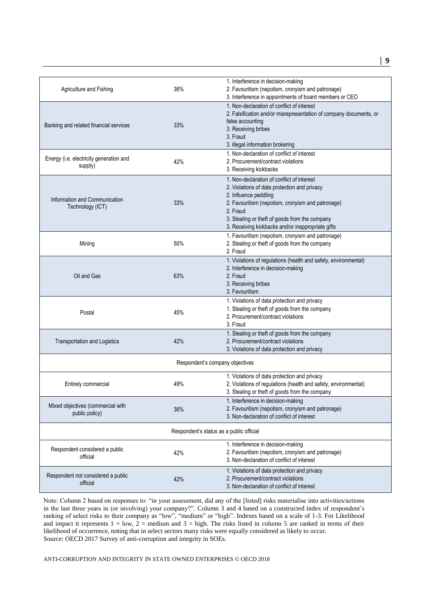| Agriculture and Fishing                             | 36% | 1. Interference in decision-making<br>2. Favouritism (nepotism, cronyism and patronage)                                                                                                                                                                                                     |  |  |
|-----------------------------------------------------|-----|---------------------------------------------------------------------------------------------------------------------------------------------------------------------------------------------------------------------------------------------------------------------------------------------|--|--|
|                                                     |     | 3. Interference in appointments of board members or CEO                                                                                                                                                                                                                                     |  |  |
| Banking and related financial services              | 33% | 1. Non-declaration of conflict of interest<br>2. Falsification and/or misrepresentation of company documents, or<br>false accounting<br>3. Receiving bribes<br>3. Fraud<br>3. illegal information brokering                                                                                 |  |  |
| Energy (i.e. electricity generation and<br>supply)  | 42% | 1. Non-declaration of conflict of interest<br>2. Procurement/contract violations<br>3. Receiving kickbacks                                                                                                                                                                                  |  |  |
| Information and Communication<br>Technology (ICT)   | 33% | 1. Non-declaration of conflict of interest<br>2. Violations of data protection and privacy<br>2. Influence peddling<br>2. Favouritism (nepotism, cronyism and patronage)<br>2. Fraud<br>3. Stealing or theft of goods from the company<br>3. Receiving kickbacks and/or inappropriate gifts |  |  |
| Mining                                              | 50% | 1. Favouritism (nepotism, cronyism and patronage)<br>2. Stealing or theft of goods from the company<br>2. Fraud                                                                                                                                                                             |  |  |
| Oil and Gas                                         | 63% | 1. Violations of regulations (health and safety, environmental)<br>2. Interference in decision-making<br>2. Fraud<br>3. Receiving bribes<br>3. Favouritism                                                                                                                                  |  |  |
| Postal                                              | 45% | 1. Violations of data protection and privacy<br>1. Stealing or theft of goods from the company<br>2. Procurement/contract violations<br>3. Fraud                                                                                                                                            |  |  |
| <b>Transportation and Logistics</b>                 | 42% | 1. Stealing or theft of goods from the company<br>2. Procurement/contract violations<br>3. Violations of data protection and privacy                                                                                                                                                        |  |  |
|                                                     |     | Respondent's company objectives                                                                                                                                                                                                                                                             |  |  |
| Entirely commercial                                 | 49% | 1. Violations of data protection and privacy<br>2. Violations of regulations (health and safety, environmental)<br>3. Stealing or theft of goods from the company                                                                                                                           |  |  |
| Mixed objectives (commercial with<br>public policy) | 36% | 1. Interference in decision-making<br>2. Favouritism (nepotism, cronyism and patronage)<br>3. Non-declaration of conflict of interest                                                                                                                                                       |  |  |
| Respondent's status as a public official            |     |                                                                                                                                                                                                                                                                                             |  |  |
| Respondent considered a public<br>official          | 42% | 1. Interference in decision-making<br>2. Favouritism (nepotism, cronyism and patronage)<br>3. Non-declaration of conflict of interest                                                                                                                                                       |  |  |
| Respondent not considered a public<br>official      | 42% | 1. Violations of data protection and privacy<br>2. Procurement/contract violations<br>3. Non-declaration of conflict of interest                                                                                                                                                            |  |  |

Note: Column 2 based on responses to: "in your assessment, did any of the [listed] risks materialise into activities/actions in the last three years in (or involving) your company?". Column 3 and 4 based on a constructed index of respondent's ranking of select risks to their company as "low", "medium" or "high". Indexes based on a scale of 1-3. For Likelihood and impact it represents  $1 = \text{low}, 2 = \text{medium}$  and  $3 = \text{high}$ . The risks listed in column 5 are ranked in terms of their likelihood of occurrence, noting that in select sectors many risks were equally considered as likely to occur. Source: OECD 2017 Survey of anti-corruption and integrity in SOEs.

ANTI-CORRUPTION AND INTEGRITY IN STATE OWNED ENTERPRISES © OECD 2018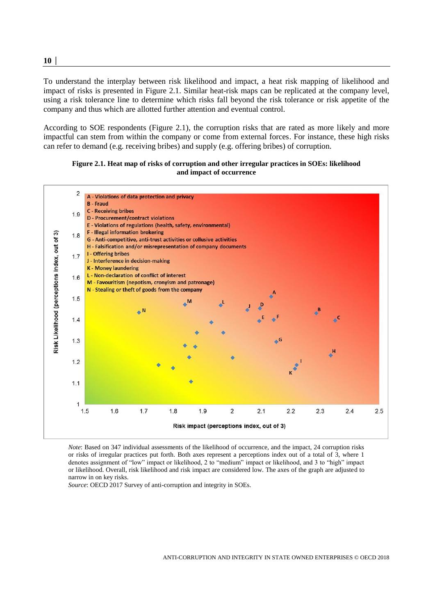To understand the interplay between risk likelihood and impact, a heat risk mapping of likelihood and impact of risks is presented in Figure 2.1. Similar heat-risk maps can be replicated at the company level, using a risk tolerance line to determine which risks fall beyond the risk tolerance or risk appetite of the company and thus which are allotted further attention and eventual control.

According to SOE respondents (Figure 2.1), the corruption risks that are rated as more likely and more impactful can stem from within the company or come from external forces. For instance, these high risks can refer to demand (e.g. receiving bribes) and supply (e.g. offering bribes) of corruption.

## **Figure 2.1. Heat map of risks of corruption and other irregular practices in SOEs: likelihood and impact of occurrence**



*Note*: Based on 347 individual assessments of the likelihood of occurrence, and the impact, 24 corruption risks or risks of irregular practices put forth. Both axes represent a perceptions index out of a total of 3, where 1 denotes assignment of "low" impact or likelihood, 2 to "medium" impact or likelihood, and 3 to "high" impact or likelihood. Overall, risk likelihood and risk impact are considered low. The axes of the graph are adjusted to narrow in on key risks.

*Source*: OECD 2017 Survey of anti-corruption and integrity in SOEs.

ANTI-CORRUPTION AND INTEGRITY IN STATE OWNED ENTERPRISES © OECD 2018

 $10|$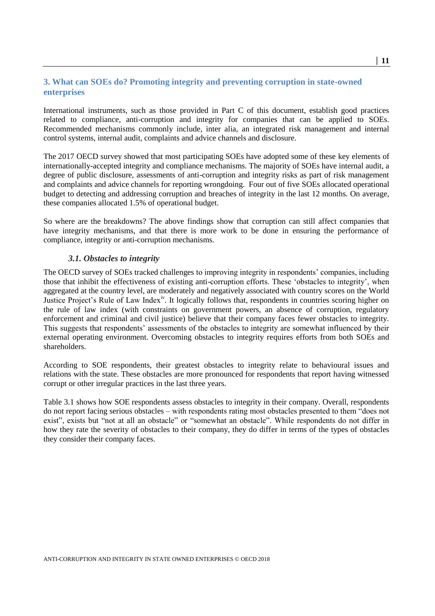## <span id="page-10-0"></span>**3. What can SOEs do? Promoting integrity and preventing corruption in state-owned enterprises**

International instruments, such as those provided in Part C of this document, establish good practices related to compliance, anti-corruption and integrity for companies that can be applied to SOEs. Recommended mechanisms commonly include, inter alia, an integrated risk management and internal control systems, internal audit, complaints and advice channels and disclosure.

The 2017 OECD survey showed that most participating SOEs have adopted some of these key elements of internationally-accepted integrity and compliance mechanisms. The majority of SOEs have internal audit, a degree of public disclosure, assessments of anti-corruption and integrity risks as part of risk management and complaints and advice channels for reporting wrongdoing. Four out of five SOEs allocated operational budget to detecting and addressing corruption and breaches of integrity in the last 12 months. On average, these companies allocated 1.5% of operational budget.

So where are the breakdowns? The above findings show that corruption can still affect companies that have integrity mechanisms, and that there is more work to be done in ensuring the performance of compliance, integrity or anti-corruption mechanisms.

## *3.1. Obstacles to integrity*

<span id="page-10-1"></span>The OECD survey of SOEs tracked challenges to improving integrity in respondents' companies, including those that inhibit the effectiveness of existing anti-corruption efforts. These 'obstacles to integrity', when aggregated at the country level, are moderately and negatively associated with country scores on the World Justice Project's Rule of Law Index<sup>iv</sup>. It logically follows that, respondents in countries scoring higher on the rule of law index (with constraints on government powers, an absence of corruption, regulatory enforcement and criminal and civil justice) believe that their company faces fewer obstacles to integrity. This suggests that respondents' assessments of the obstacles to integrity are somewhat influenced by their external operating environment. Overcoming obstacles to integrity requires efforts from both SOEs and shareholders.

According to SOE respondents, their greatest obstacles to integrity relate to behavioural issues and relations with the state. These obstacles are more pronounced for respondents that report having witnessed corrupt or other irregular practices in the last three years.

Table 3.1 shows how SOE respondents assess obstacles to integrity in their company. Overall, respondents do not report facing serious obstacles – with respondents rating most obstacles presented to them "does not exist", exists but "not at all an obstacle" or "somewhat an obstacle". While respondents do not differ in how they rate the severity of obstacles to their company, they do differ in terms of the types of obstacles they consider their company faces.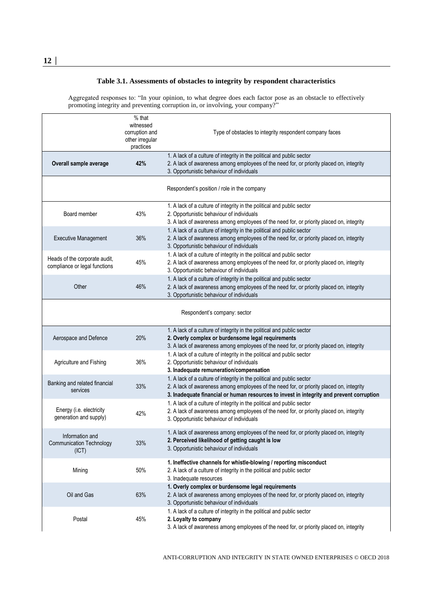## **Table 3.1. Assessments of obstacles to integrity by respondent characteristics**

Aggregated responses to: "In your opinion, to what degree does each factor pose as an obstacle to effectively promoting integrity and preventing corruption in, or involving, your company?"

|                                                                | % that<br>witnessed<br>corruption and<br>other irregular<br>practices | Type of obstacles to integrity respondent company faces                                                                                                                                                                                                        |
|----------------------------------------------------------------|-----------------------------------------------------------------------|----------------------------------------------------------------------------------------------------------------------------------------------------------------------------------------------------------------------------------------------------------------|
| Overall sample average                                         | 42%                                                                   | 1. A lack of a culture of integrity in the political and public sector<br>2. A lack of awareness among employees of the need for, or priority placed on, integrity<br>3. Opportunistic behaviour of individuals                                                |
|                                                                |                                                                       | Respondent's position / role in the company                                                                                                                                                                                                                    |
| Board member                                                   | 43%                                                                   | 1. A lack of a culture of integrity in the political and public sector<br>2. Opportunistic behaviour of individuals<br>3. A lack of awareness among employees of the need for, or priority placed on, integrity                                                |
| <b>Executive Management</b>                                    | 36%                                                                   | 1. A lack of a culture of integrity in the political and public sector<br>2. A lack of awareness among employees of the need for, or priority placed on, integrity<br>3. Opportunistic behaviour of individuals                                                |
| Heads of the corporate audit,<br>compliance or legal functions | 45%                                                                   | 1. A lack of a culture of integrity in the political and public sector<br>2. A lack of awareness among employees of the need for, or priority placed on, integrity<br>3. Opportunistic behaviour of individuals                                                |
| Other                                                          | 46%                                                                   | 1. A lack of a culture of integrity in the political and public sector<br>2. A lack of awareness among employees of the need for, or priority placed on, integrity<br>3. Opportunistic behaviour of individuals                                                |
|                                                                |                                                                       | Respondent's company: sector                                                                                                                                                                                                                                   |
| Aerospace and Defence                                          | 20%                                                                   | 1. A lack of a culture of integrity in the political and public sector<br>2. Overly complex or burdensome legal requirements<br>3. A lack of awareness among employees of the need for, or priority placed on, integrity                                       |
| Agriculture and Fishing                                        | 36%                                                                   | 1. A lack of a culture of integrity in the political and public sector<br>2. Opportunistic behaviour of individuals<br>3. Inadequate remuneration/compensation                                                                                                 |
| Banking and related financial<br>services                      | 33%                                                                   | 1. A lack of a culture of integrity in the political and public sector<br>2. A lack of awareness among employees of the need for, or priority placed on, integrity<br>3. Inadequate financial or human resources to invest in integrity and prevent corruption |
| Energy (i.e. electricity<br>generation and supply)             | 42%                                                                   | 1. A lack of a culture of integrity in the political and public sector<br>2. A lack of awareness among employees of the need for, or priority placed on, integrity<br>3. Opportunistic behaviour of individuals                                                |
| Information and<br><b>Communication Technology</b><br>(ICT)    | 33%                                                                   | 1. A lack of awareness among employees of the need for, or priority placed on, integrity<br>2. Perceived likelihood of getting caught is low<br>3. Opportunistic behaviour of individuals                                                                      |
| Mining                                                         | 50%                                                                   | 1. Ineffective channels for whistle-blowing / reporting misconduct<br>2. A lack of a culture of integrity in the political and public sector<br>3. Inadequate resources                                                                                        |
| Oil and Gas                                                    | 63%                                                                   | 1. Overly complex or burdensome legal requirements<br>2. A lack of awareness among employees of the need for, or priority placed on, integrity<br>3. Opportunistic behaviour of individuals                                                                    |
| Postal                                                         | 45%                                                                   | 1. A lack of a culture of integrity in the political and public sector<br>2. Loyalty to company<br>3. A lack of awareness among employees of the need for, or priority placed on, integrity                                                                    |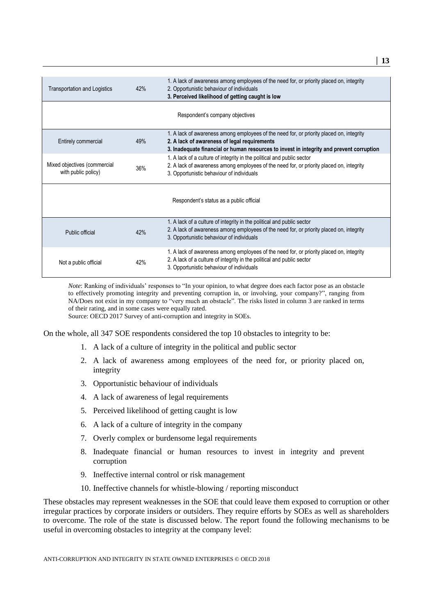| <b>Transportation and Logistics</b>                 | 42% | 1. A lack of awareness among employees of the need for, or priority placed on, integrity<br>2. Opportunistic behaviour of individuals<br>3. Perceived likelihood of getting caught is low                                            |
|-----------------------------------------------------|-----|--------------------------------------------------------------------------------------------------------------------------------------------------------------------------------------------------------------------------------------|
|                                                     |     | Respondent's company objectives                                                                                                                                                                                                      |
| Entirely commercial                                 | 49% | 1. A lack of awareness among employees of the need for, or priority placed on, integrity<br>2. A lack of awareness of legal requirements<br>3. Inadequate financial or human resources to invest in integrity and prevent corruption |
| Mixed objectives (commercial<br>with public policy) | 36% | 1. A lack of a culture of integrity in the political and public sector<br>2. A lack of awareness among employees of the need for, or priority placed on, integrity<br>3. Opportunistic behaviour of individuals                      |
|                                                     |     | Respondent's status as a public official                                                                                                                                                                                             |
| Public official                                     | 42% | 1. A lack of a culture of integrity in the political and public sector<br>2. A lack of awareness among employees of the need for, or priority placed on, integrity<br>3. Opportunistic behaviour of individuals                      |
| Not a public official                               | 42% | 1. A lack of awareness among employees of the need for, or priority placed on, integrity<br>2. A lack of a culture of integrity in the political and public sector<br>3. Opportunistic behaviour of individuals                      |

*Note*: Ranking of individuals' responses to "In your opinion, to what degree does each factor pose as an obstacle to effectively promoting integrity and preventing corruption in, or involving, your company?", ranging from NA/Does not exist in my company to "very much an obstacle". The risks listed in column 3 are ranked in terms of their rating, and in some cases were equally rated. Source: OECD 2017 Survey of anti-corruption and integrity in SOEs.

On the whole, all 347 SOE respondents considered the top 10 obstacles to integrity to be:

- 1. A lack of a culture of integrity in the political and public sector
- 2. A lack of awareness among employees of the need for, or priority placed on, integrity
- 3. Opportunistic behaviour of individuals
- 4. A lack of awareness of legal requirements
- 5. Perceived likelihood of getting caught is low
- 6. A lack of a culture of integrity in the company
- 7. Overly complex or burdensome legal requirements
- 8. Inadequate financial or human resources to invest in integrity and prevent corruption
- 9. Ineffective internal control or risk management
- 10. Ineffective channels for whistle-blowing / reporting misconduct

These obstacles may represent weaknesses in the SOE that could leave them exposed to corruption or other irregular practices by corporate insiders or outsiders. They require efforts by SOEs as well as shareholders to overcome. The role of the state is discussed below. The report found the following mechanisms to be useful in overcoming obstacles to integrity at the company level: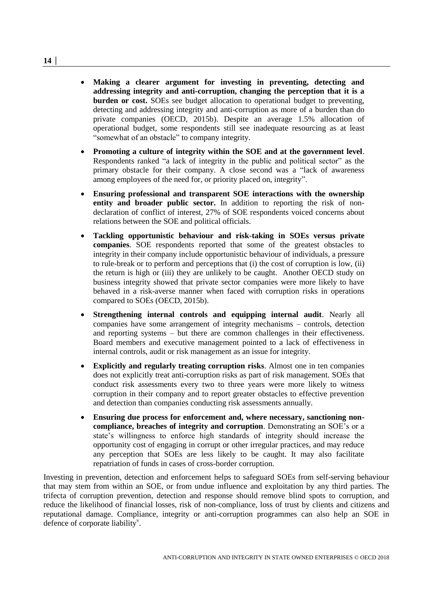- **Making a clearer argument for investing in preventing, detecting and addressing integrity and anti-corruption, changing the perception that it is a burden or cost.** SOEs see budget allocation to operational budget to preventing, detecting and addressing integrity and anti-corruption as more of a burden than do private companies (OECD, 2015b). Despite an average 1.5% allocation of operational budget, some respondents still see inadequate resourcing as at least "somewhat of an obstacle" to company integrity.
- **Promoting a culture of integrity within the SOE and at the government level**. Respondents ranked "a lack of integrity in the public and political sector" as the primary obstacle for their company. A close second was a "lack of awareness among employees of the need for, or priority placed on, integrity".
- **Ensuring professional and transparent SOE interactions with the ownership entity and broader public sector.** In addition to reporting the risk of nondeclaration of conflict of interest, 27% of SOE respondents voiced concerns about relations between the SOE and political officials.
- **Tackling opportunistic behaviour and risk-taking in SOEs versus private companies**. SOE respondents reported that some of the greatest obstacles to integrity in their company include opportunistic behaviour of individuals, a pressure to rule-break or to perform and perceptions that (i) the cost of corruption is low, (ii) the return is high or (iii) they are unlikely to be caught. Another OECD study on business integrity showed that private sector companies were more likely to have behaved in a risk-averse manner when faced with corruption risks in operations compared to SOEs (OECD, 2015b).
- **Strengthening internal controls and equipping internal audit**. Nearly all companies have some arrangement of integrity mechanisms – controls, detection and reporting systems – but there are common challenges in their effectiveness. Board members and executive management pointed to a lack of effectiveness in internal controls, audit or risk management as an issue for integrity.
- **Explicitly and regularly treating corruption risks**. Almost one in ten companies does not explicitly treat anti-corruption risks as part of risk management. SOEs that conduct risk assessments every two to three years were more likely to witness corruption in their company and to report greater obstacles to effective prevention and detection than companies conducting risk assessments annually.
- **Ensuring due process for enforcement and, where necessary, sanctioning noncompliance, breaches of integrity and corruption**. Demonstrating an SOE's or a state's willingness to enforce high standards of integrity should increase the opportunity cost of engaging in corrupt or other irregular practices, and may reduce any perception that SOEs are less likely to be caught. It may also facilitate repatriation of funds in cases of cross-border corruption.

Investing in prevention, detection and enforcement helps to safeguard SOEs from self-serving behaviour that may stem from within an SOE, or from undue influence and exploitation by any third parties. The trifecta of corruption prevention, detection and response should remove blind spots to corruption, and reduce the likelihood of financial losses, risk of non-compliance, loss of trust by clients and citizens and reputational damage. Compliance, integrity or anti-corruption programmes can also help an SOE in defence of corporate liability<sup>v</sup>.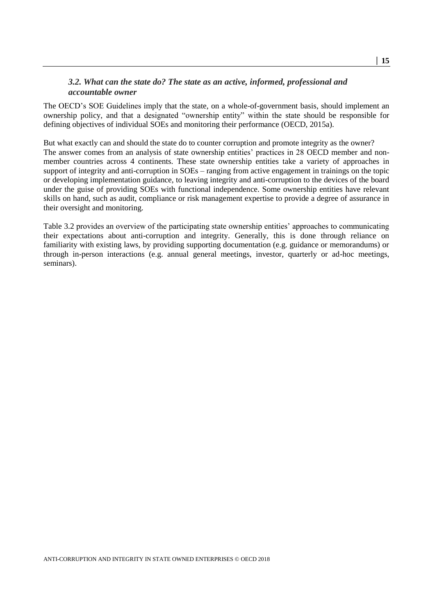## *3.2. What can the state do? The state as an active, informed, professional and accountable owner*

<span id="page-14-0"></span>The OECD's SOE Guidelines imply that the state, on a whole-of-government basis, should implement an ownership policy, and that a designated "ownership entity" within the state should be responsible for defining objectives of individual SOEs and monitoring their performance (OECD, 2015a).

But what exactly can and should the state do to counter corruption and promote integrity as the owner? The answer comes from an analysis of state ownership entities' practices in 28 OECD member and nonmember countries across 4 continents. These state ownership entities take a variety of approaches in support of integrity and anti-corruption in SOEs – ranging from active engagement in trainings on the topic or developing implementation guidance, to leaving integrity and anti-corruption to the devices of the board under the guise of providing SOEs with functional independence. Some ownership entities have relevant skills on hand, such as audit, compliance or risk management expertise to provide a degree of assurance in their oversight and monitoring.

Table 3.2 provides an overview of the participating state ownership entities' approaches to communicating their expectations about anti-corruption and integrity. Generally, this is done through reliance on familiarity with existing laws, by providing supporting documentation (e.g. guidance or memorandums) or through in-person interactions (e.g. annual general meetings, investor, quarterly or ad-hoc meetings, seminars).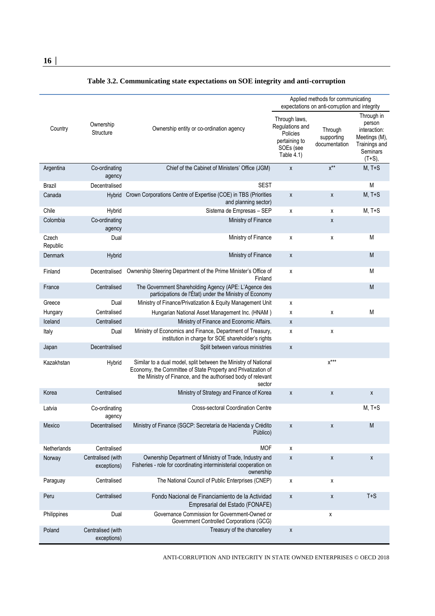|                   |                                  |                                                                                                                                                                                                            | Applied methods for communicating<br>expectations on anti-corruption and integrity          |                                        |                                                                                                |
|-------------------|----------------------------------|------------------------------------------------------------------------------------------------------------------------------------------------------------------------------------------------------------|---------------------------------------------------------------------------------------------|----------------------------------------|------------------------------------------------------------------------------------------------|
| Country           | Ownership<br>Structure           | Ownership entity or co-ordination agency                                                                                                                                                                   | Through laws,<br>Regulations and<br>Policies<br>pertaining to<br>SOEs (see<br>Table $4.1$ ) | Through<br>supporting<br>documentation | Through in<br>person<br>interaction:<br>Meetings (M),<br>Trainings and<br>Seminars<br>$(T+S),$ |
| Argentina         | Co-ordinating<br>agency          | Chief of the Cabinet of Ministers' Office (JGM)                                                                                                                                                            | X                                                                                           | $x^{**}$                               | $M, T+S$                                                                                       |
| Brazil            | Decentralised                    | <b>SEST</b>                                                                                                                                                                                                |                                                                                             |                                        | M                                                                                              |
| Canada            | Hybrid                           | Crown Corporations Centre of Expertise (COE) in TBS (Priorities<br>and planning sector)                                                                                                                    | X                                                                                           | X                                      | $M, T+S$                                                                                       |
| Chile             | Hybrid                           | Sistema de Empresas - SEP                                                                                                                                                                                  | x                                                                                           | х                                      | $M, T+S$                                                                                       |
| Colombia          | Co-ordinating<br>agency          | Ministry of Finance                                                                                                                                                                                        |                                                                                             | X                                      |                                                                                                |
| Czech<br>Republic | Dual                             | Ministry of Finance                                                                                                                                                                                        | Х                                                                                           | х                                      | M                                                                                              |
| Denmark           | Hybrid                           | Ministry of Finance                                                                                                                                                                                        | X                                                                                           |                                        | ${\sf M}$                                                                                      |
| Finland           | Decentralised                    | Ownership Steering Department of the Prime Minister's Office of<br>Finland                                                                                                                                 | X                                                                                           |                                        | M                                                                                              |
| France            | Centralised                      | The Government Shareholding Agency (APE: L'Agence des<br>participations de l'État) under the Ministry of Economy                                                                                           |                                                                                             |                                        | ${\sf M}$                                                                                      |
| Greece            | Dual                             | Ministry of Finance/Privatization & Equity Management Unit                                                                                                                                                 | χ                                                                                           |                                        |                                                                                                |
| Hungary           | Centralised                      | Hungarian National Asset Management Inc. (HNAM)                                                                                                                                                            | x                                                                                           | х                                      | M                                                                                              |
| Iceland           | Centralised                      | Ministry of Finance and Economic Affairs.                                                                                                                                                                  | X                                                                                           |                                        |                                                                                                |
| Italy             | Dual                             | Ministry of Economics and Finance, Department of Treasury,<br>institution in charge for SOE shareholder's rights                                                                                           | x                                                                                           | X                                      |                                                                                                |
| Japan             | Decentralised                    | Split between various ministries                                                                                                                                                                           | X                                                                                           |                                        |                                                                                                |
| Kazakhstan        | Hybrid                           | Similar to a dual model, split between the Ministry of National<br>Economy, the Committee of State Property and Privatization of<br>the Ministry of Finance, and the authorised body of relevant<br>sector |                                                                                             | $\mathsf{X}^{\star\star\star}$         |                                                                                                |
| Korea             | Centralised                      | Ministry of Strategy and Finance of Korea                                                                                                                                                                  | X                                                                                           | X                                      | $\pmb{\chi}$                                                                                   |
| Latvia            | Co-ordinating<br>agency          | Cross-sectoral Coordination Centre                                                                                                                                                                         |                                                                                             |                                        | $M, T+S$                                                                                       |
| Mexico            | Decentralised                    | Ministry of Finance (SGCP: Secretaría de Hacienda y Crédito<br>Público)                                                                                                                                    | X                                                                                           | $\pmb{\chi}$                           | M                                                                                              |
| Netherlands       | Centralised                      | <b>MOF</b>                                                                                                                                                                                                 | x                                                                                           |                                        |                                                                                                |
| Norway            | Centralised (with<br>exceptions) | Ownership Department of Ministry of Trade, Industry and<br>Fisheries - role for coordinating interministerial cooperation on<br>ownership                                                                  | X                                                                                           | X                                      | $\pmb{\mathsf{X}}$                                                                             |
| Paraguay          | Centralised                      | The National Council of Public Enterprises (CNEP)                                                                                                                                                          | X                                                                                           | х                                      |                                                                                                |
| Peru              | Centralised                      | Fondo Nacional de Financiamiento de la Actividad<br>Empresarial del Estado (FONAFE)                                                                                                                        | Χ                                                                                           | X                                      | $T + S$                                                                                        |
| Philippines       | Dual                             | Governance Commission for Government-Owned or<br>Government Controlled Corporations (GCG)                                                                                                                  |                                                                                             | X                                      |                                                                                                |
| Poland            | Centralised (with<br>exceptions) | Treasury of the chancellery                                                                                                                                                                                | X                                                                                           |                                        |                                                                                                |

## **Table 3.2. Communicating state expectations on SOE integrity and anti-corruption**

ANTI-CORRUPTION AND INTEGRITY IN STATE OWNED ENTERPRISES © OECD 2018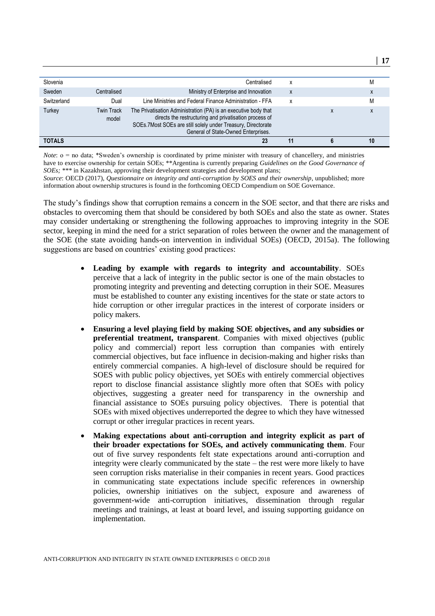| Slovenia      |                            | Centralised                                                                                                                                                                                                                      | x | М  |
|---------------|----------------------------|----------------------------------------------------------------------------------------------------------------------------------------------------------------------------------------------------------------------------------|---|----|
| Sweden        | Centralised                | Ministry of Enterprise and Innovation                                                                                                                                                                                            | X | X  |
| Switzerland   | Dual                       | Line Ministries and Federal Finance Administration - FFA                                                                                                                                                                         | x | М  |
| Turkey        | <b>Twin Track</b><br>model | The Privatisation Administration (PA) is an executive body that<br>directs the restructuring and privatisation process of<br>SOEs.7Most SOEs are still solely under Treasury, Directorate<br>General of State-Owned Enterprises. |   | ⋏  |
| <b>TOTALS</b> |                            | 23                                                                                                                                                                                                                               |   | 10 |

*Note*:  $o = no$  data; \*Sweden's ownership is coordinated by prime minister with treasury of chancellery, and ministries have to exercise ownership for certain SOEs; \*\*Argentina is currently preparing *Guidelines on the Good Governance of SOEs; \*\*\** in Kazakhstan, approving their development strategies and development plans;

*Source*: OECD (2017), *Questionnaire on integrity and anti-corruption by SOES and their ownership*, unpublished; more information about ownership structures is found in the forthcoming OECD Compendium on SOE Governance.

The study's findings show that corruption remains a concern in the SOE sector, and that there are risks and obstacles to overcoming them that should be considered by both SOEs and also the state as owner. States may consider undertaking or strengthening the following approaches to improving integrity in the SOE sector, keeping in mind the need for a strict separation of roles between the owner and the management of the SOE (the state avoiding hands-on intervention in individual SOEs) (OECD, 2015a). The following suggestions are based on countries' existing good practices:

- **Leading by example with regards to integrity and accountability**. SOEs perceive that a lack of integrity in the public sector is one of the main obstacles to promoting integrity and preventing and detecting corruption in their SOE. Measures must be established to counter any existing incentives for the state or state actors to hide corruption or other irregular practices in the interest of corporate insiders or policy makers.
- **Ensuring a level playing field by making SOE objectives, and any subsidies or preferential treatment, transparent**. Companies with mixed objectives (public policy and commercial) report less corruption than companies with entirely commercial objectives, but face influence in decision-making and higher risks than entirely commercial companies. A high-level of disclosure should be required for SOES with public policy objectives, yet SOEs with entirely commercial objectives report to disclose financial assistance slightly more often that SOEs with policy objectives, suggesting a greater need for transparency in the ownership and financial assistance to SOEs pursuing policy objectives. There is potential that SOEs with mixed objectives underreported the degree to which they have witnessed corrupt or other irregular practices in recent years.
- **Making expectations about anti-corruption and integrity explicit as part of their broader expectations for SOEs, and actively communicating them**. Four out of five survey respondents felt state expectations around anti-corruption and integrity were clearly communicated by the state – the rest were more likely to have seen corruption risks materialise in their companies in recent years. Good practices in communicating state expectations include specific references in ownership policies, ownership initiatives on the subject, exposure and awareness of government-wide anti-corruption initiatives, dissemination through regular meetings and trainings, at least at board level, and issuing supporting guidance on implementation.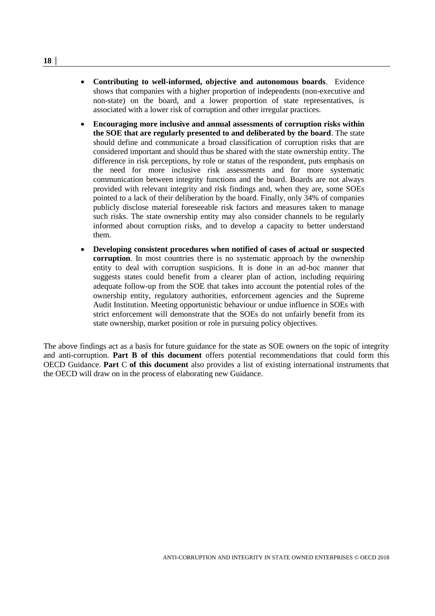- **Contributing to well-informed, objective and autonomous boards**. Evidence shows that companies with a higher proportion of independents (non-executive and non-state) on the board, and a lower proportion of state representatives, is associated with a lower risk of corruption and other irregular practices.
- **Encouraging more inclusive and annual assessments of corruption risks within the SOE that are regularly presented to and deliberated by the board**. The state should define and communicate a broad classification of corruption risks that are considered important and should thus be shared with the state ownership entity. The difference in risk perceptions, by role or status of the respondent, puts emphasis on the need for more inclusive risk assessments and for more systematic communication between integrity functions and the board. Boards are not always provided with relevant integrity and risk findings and, when they are, some SOEs pointed to a lack of their deliberation by the board. Finally, only 34% of companies publicly disclose material foreseeable risk factors and measures taken to manage such risks. The state ownership entity may also consider channels to be regularly informed about corruption risks, and to develop a capacity to better understand them.
- **Developing consistent procedures when notified of cases of actual or suspected corruption**. In most countries there is no systematic approach by the ownership entity to deal with corruption suspicions. It is done in an ad-hoc manner that suggests states could benefit from a clearer plan of action, including requiring adequate follow-up from the SOE that takes into account the potential roles of the ownership entity, regulatory authorities, enforcement agencies and the Supreme Audit Institution. Meeting opportunistic behaviour or undue influence in SOEs with strict enforcement will demonstrate that the SOEs do not unfairly benefit from its state ownership, market position or role in pursuing policy objectives.

The above findings act as a basis for future guidance for the state as SOE owners on the topic of integrity and anti-corruption. **Part B of this document** offers potential recommendations that could form this OECD Guidance. **Part** C **of this document** also provides a list of existing international instruments that the OECD will draw on in the process of elaborating new Guidance.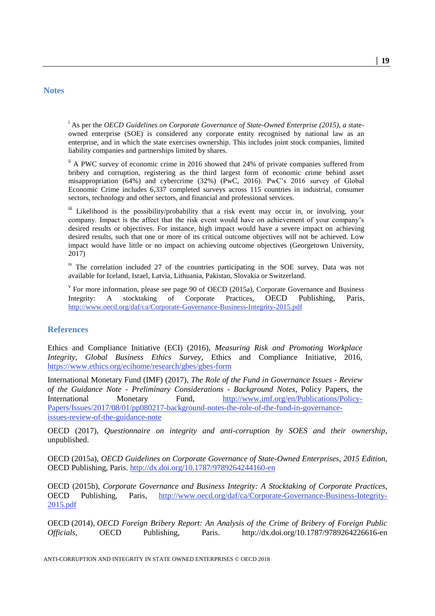## <span id="page-18-0"></span>**Notes**

<sup>i</sup> As per the *OECD Guidelines on Corporate Governance of State-Owned Enterprise (2015), a state*owned enterprise (SOE) is considered any corporate entity recognised by national law as an enterprise, and in which the state exercises ownership. This includes joint stock companies, limited liability companies and partnerships limited by shares.

ii A PWC survey of economic crime in 2016 showed that 24% of private companies suffered from bribery and corruption, registering as the third largest form of economic crime behind asset misappropriation (64%) and cybercrime (32%) (PwC, 2016). PwC's 2016 survey of Global Economic Crime includes 6,337 completed surveys across 115 countries in industrial, consumer sectors, technology and other sectors, and financial and professional services.

iii Likelihood is the possibility/probability that a risk event may occur in, or involving, your company. Impact is the affect that the risk event would have on achievement of your company's desired results or objectives. For instance, high impact would have a severe impact on achieving desired results, such that one or more of its critical outcome objectives will not be achieved. Low impact would have little or no impact on achieving outcome objectives (Georgetown University, 2017)

<sup>iv</sup> The correlation included 27 of the countries participating in the SOE survey. Data was not available for Iceland, Israel, Latvia, Lithuania, Pakistan, Slovakia or Switzerland.

<sup>v</sup> For more information, please see page 90 of OECD (2015a), Corporate Governance and Business Integrity: A stocktaking of Corporate Practices, OECD Publishing, Paris, <http://www.oecd.org/daf/ca/Corporate-Governance-Business-Integrity-2015.pdf>

#### <span id="page-18-1"></span>**References**

Ethics and Compliance Initiative (ECI) (2016), *Measuring Risk and Promoting Workplace Integrity, Global Business Ethics Survey*, Ethics and Compliance Initiative, 2016, <https://www.ethics.org/ecihome/research/gbes/gbes-form>

International Monetary Fund (IMF) (2017), *The Role of the Fund in Governance Issues - Review of the Guidance Note - Preliminary Considerations - Background Notes*, Policy Papers, the International Monetary Fund, [http://www.imf.org/en/Publications/Policy-](http://www.imf.org/en/Publications/Policy-Papers/Issues/2017/08/01/pp080217-background-notes-the-role-of-the-fund-in-governance-issues-review-of-the-guidance-note)[Papers/Issues/2017/08/01/pp080217-background-notes-the-role-of-the-fund-in-governance](http://www.imf.org/en/Publications/Policy-Papers/Issues/2017/08/01/pp080217-background-notes-the-role-of-the-fund-in-governance-issues-review-of-the-guidance-note)[issues-review-of-the-guidance-note](http://www.imf.org/en/Publications/Policy-Papers/Issues/2017/08/01/pp080217-background-notes-the-role-of-the-fund-in-governance-issues-review-of-the-guidance-note)

OECD (2017), *Questionnaire on integrity and anti-corruption by SOES and their ownership*, unpublished.

OECD (2015a), *OECD Guidelines on Corporate Governance of State-Owned Enterprises, 2015 Edition*, OECD Publishing, Paris.<http://dx.doi.org/10.1787/9789264244160-en>

OECD (2015b), *Corporate Governance and Business Integrity: A Stocktaking of Corporate Practices*, OECD Publishing, Paris, [http://www.oecd.org/daf/ca/Corporate-Governance-Business-Integrity-](http://www.oecd.org/daf/ca/Corporate-Governance-Business-Integrity-2015.pdf)[2015.pdf](http://www.oecd.org/daf/ca/Corporate-Governance-Business-Integrity-2015.pdf)

OECD (2014), *OECD Foreign Bribery Report: An Analysis of the Crime of Bribery of Foreign Public Officials*, OECD Publishing, Paris. <http://dx.doi.org/10.1787/9789264226616-en>

ANTI-CORRUPTION AND INTEGRITY IN STATE OWNED ENTERPRISES © OECD 2018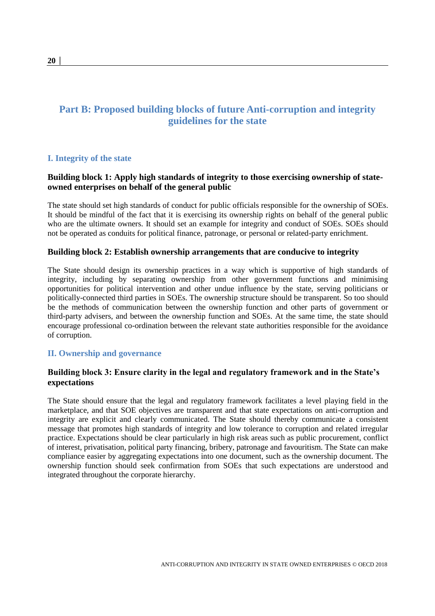## <span id="page-19-0"></span>**Part B: Proposed building blocks of future Anti-corruption and integrity guidelines for the state**

## <span id="page-19-1"></span>**I. Integrity of the state**

## <span id="page-19-2"></span>**Building block 1: Apply high standards of integrity to those exercising ownership of stateowned enterprises on behalf of the general public**

The state should set high standards of conduct for public officials responsible for the ownership of SOEs. It should be mindful of the fact that it is exercising its ownership rights on behalf of the general public who are the ultimate owners. It should set an example for integrity and conduct of SOEs. SOEs should not be operated as conduits for political finance, patronage, or personal or related-party enrichment.

## <span id="page-19-3"></span>**Building block 2: Establish ownership arrangements that are conducive to integrity**

The State should design its ownership practices in a way which is supportive of high standards of integrity, including by separating ownership from other government functions and minimising opportunities for political intervention and other undue influence by the state, serving politicians or politically-connected third parties in SOEs. The ownership structure should be transparent. So too should be the methods of communication between the ownership function and other parts of government or third-party advisers, and between the ownership function and SOEs. At the same time, the state should encourage professional co-ordination between the relevant state authorities responsible for the avoidance of corruption.

## <span id="page-19-4"></span>**II. Ownership and governance**

## <span id="page-19-5"></span>**Building block 3: Ensure clarity in the legal and regulatory framework and in the State's expectations**

The State should ensure that the legal and regulatory framework facilitates a level playing field in the marketplace, and that SOE objectives are transparent and that state expectations on anti-corruption and integrity are explicit and clearly communicated. The State should thereby communicate a consistent message that promotes high standards of integrity and low tolerance to corruption and related irregular practice. Expectations should be clear particularly in high risk areas such as public procurement, conflict of interest, privatisation, political party financing, bribery, patronage and favouritism. The State can make compliance easier by aggregating expectations into one document, such as the ownership document. The ownership function should seek confirmation from SOEs that such expectations are understood and integrated throughout the corporate hierarchy.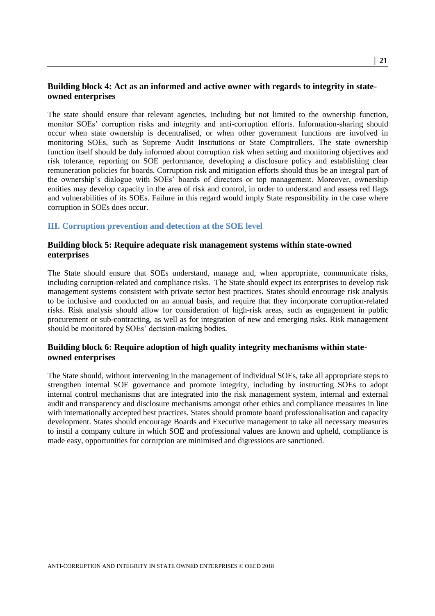## <span id="page-20-0"></span>**Building block 4: Act as an informed and active owner with regards to integrity in stateowned enterprises**

The state should ensure that relevant agencies, including but not limited to the ownership function, monitor SOEs' corruption risks and integrity and anti-corruption efforts. Information-sharing should occur when state ownership is decentralised, or when other government functions are involved in monitoring SOEs, such as Supreme Audit Institutions or State Comptrollers. The state ownership function itself should be duly informed about corruption risk when setting and monitoring objectives and risk tolerance, reporting on SOE performance, developing a disclosure policy and establishing clear remuneration policies for boards. Corruption risk and mitigation efforts should thus be an integral part of the ownership's dialogue with SOEs' boards of directors or top management. Moreover, ownership entities may develop capacity in the area of risk and control, in order to understand and assess red flags and vulnerabilities of its SOEs. Failure in this regard would imply State responsibility in the case where corruption in SOEs does occur.

## <span id="page-20-1"></span>**III. Corruption prevention and detection at the SOE level**

## <span id="page-20-2"></span>**Building block 5: Require adequate risk management systems within state-owned enterprises**

The State should ensure that SOEs understand, manage and, when appropriate, communicate risks, including corruption-related and compliance risks. The State should expect its enterprises to develop risk management systems consistent with private sector best practices. States should encourage risk analysis to be inclusive and conducted on an annual basis, and require that they incorporate corruption-related risks. Risk analysis should allow for consideration of high-risk areas, such as engagement in public procurement or sub-contracting, as well as for integration of new and emerging risks. Risk management should be monitored by SOEs' decision-making bodies.

## <span id="page-20-3"></span>**Building block 6: Require adoption of high quality integrity mechanisms within stateowned enterprises**

The State should, without intervening in the management of individual SOEs, take all appropriate steps to strengthen internal SOE governance and promote integrity, including by instructing SOEs to adopt internal control mechanisms that are integrated into the risk management system, internal and external audit and transparency and disclosure mechanisms amongst other ethics and compliance measures in line with internationally accepted best practices. States should promote board professionalisation and capacity development. States should encourage Boards and Executive management to take all necessary measures to instil a company culture in which SOE and professional values are known and upheld, compliance is made easy, opportunities for corruption are minimised and digressions are sanctioned.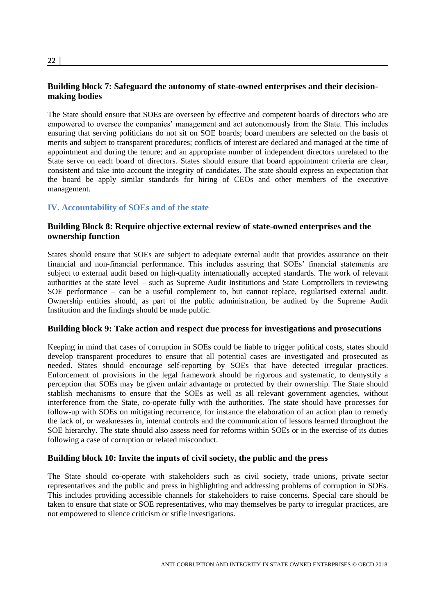## <span id="page-21-0"></span>**Building block 7: Safeguard the autonomy of state-owned enterprises and their decisionmaking bodies**

The State should ensure that SOEs are overseen by effective and competent boards of directors who are empowered to oversee the companies' management and act autonomously from the State. This includes ensuring that serving politicians do not sit on SOE boards; board members are selected on the basis of merits and subject to transparent procedures; conflicts of interest are declared and managed at the time of appointment and during the tenure; and an appropriate number of independent directors unrelated to the State serve on each board of directors. States should ensure that board appointment criteria are clear, consistent and take into account the integrity of candidates. The state should express an expectation that the board be apply similar standards for hiring of CEOs and other members of the executive management.

## <span id="page-21-1"></span>**IV. Accountability of SOEs and of the state**

## <span id="page-21-2"></span>**Building Block 8: Require objective external review of state-owned enterprises and the ownership function**

States should ensure that SOEs are subject to adequate external audit that provides assurance on their financial and non-financial performance. This includes assuring that SOEs' financial statements are subject to external audit based on high-quality internationally accepted standards. The work of relevant authorities at the state level – such as Supreme Audit Institutions and State Comptrollers in reviewing SOE performance – can be a useful complement to, but cannot replace, regularised external audit. Ownership entities should, as part of the public administration, be audited by the Supreme Audit Institution and the findings should be made public.

## <span id="page-21-3"></span>**Building block 9: Take action and respect due process for investigations and prosecutions**

Keeping in mind that cases of corruption in SOEs could be liable to trigger political costs, states should develop transparent procedures to ensure that all potential cases are investigated and prosecuted as needed. States should encourage self-reporting by SOEs that have detected irregular practices. Enforcement of provisions in the legal framework should be rigorous and systematic, to demystify a perception that SOEs may be given unfair advantage or protected by their ownership. The State should stablish mechanisms to ensure that the SOEs as well as all relevant government agencies, without interference from the State, co-operate fully with the authorities. The state should have processes for follow-up with SOEs on mitigating recurrence, for instance the elaboration of an action plan to remedy the lack of, or weaknesses in, internal controls and the communication of lessons learned throughout the SOE hierarchy. The state should also assess need for reforms within SOEs or in the exercise of its duties following a case of corruption or related misconduct.

## <span id="page-21-4"></span>**Building block 10: Invite the inputs of civil society, the public and the press**

The State should co-operate with stakeholders such as civil society, trade unions, private sector representatives and the public and press in highlighting and addressing problems of corruption in SOEs. This includes providing accessible channels for stakeholders to raise concerns. Special care should be taken to ensure that state or SOE representatives, who may themselves be party to irregular practices, are not empowered to silence criticism or stifle investigations.